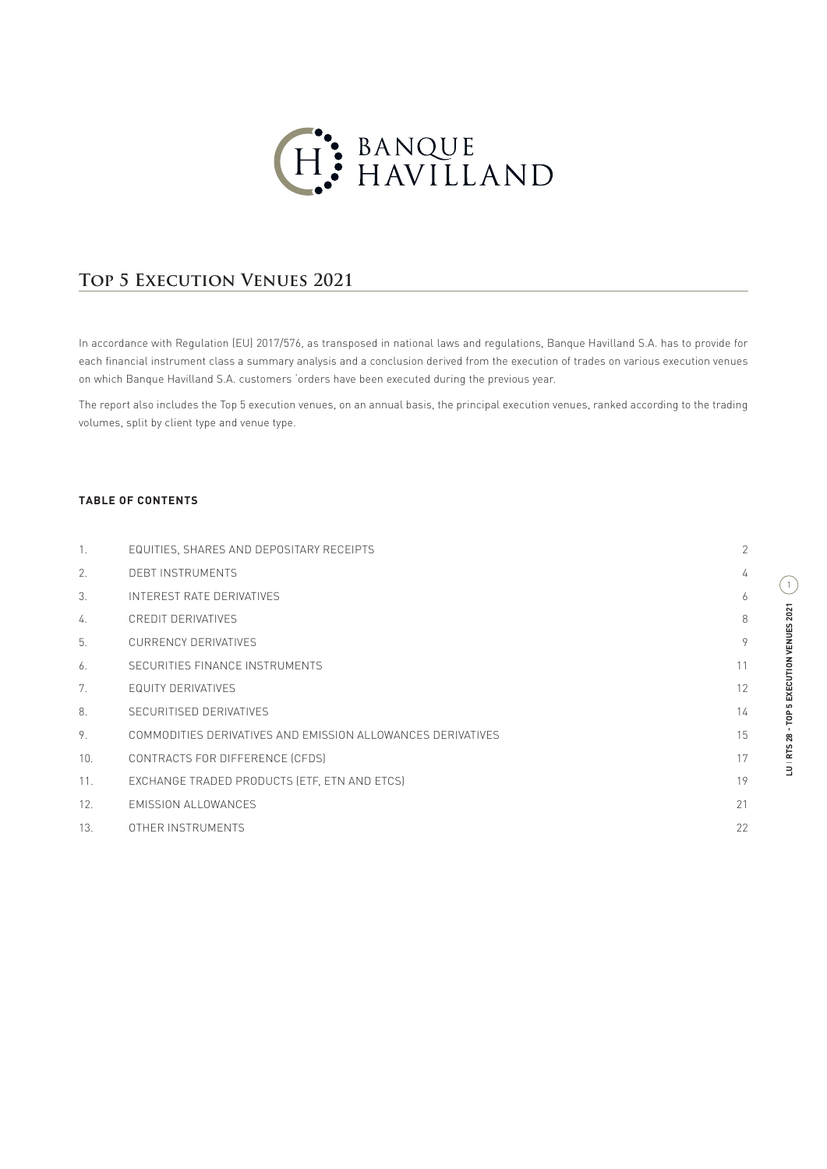

## **TOP 5 EXECUTION VENUES 2021**

In accordance with Regulation (EU) 2017/576, as transposed in national laws and regulations, Banque Havilland S.A. has to provide for each financial instrument class a summary analysis and a conclusion derived from the execution of trades on various execution venues on which Banque Havilland S.A. customers 'orders have been executed during the previous year.

The report also includes the Top 5 execution venues, on an annual basis, the principal execution venues, ranked according to the trading volumes, split by client type and venue type.

## **TABLE OF CONTENTS**

| 1.               | EQUITIES, SHARES AND DEPOSITARY RECEIPTS                    | $\overline{2}$ |
|------------------|-------------------------------------------------------------|----------------|
| $\mathcal{P}$ .  | DEBT INSTRUMENTS                                            | 4              |
| $\mathcal{S}$ .  | INTEREST RATE DERIVATIVES                                   | 6              |
| $\overline{4}$ . | CREDIT DERIVATIVES                                          | 8              |
| 5.               | <b>CURRENCY DERIVATIVES</b>                                 | 9              |
| 6.               | SECURITIES FINANCE INSTRUMENTS                              | 11             |
| 7 <sub>1</sub>   | EQUITY DERIVATIVES                                          | 12             |
| 8.               | SECURITISED DERIVATIVES                                     | 14             |
| 9.               | COMMODITIES DERIVATIVES AND EMISSION ALLOWANCES DERIVATIVES | 15             |
| 10.              | CONTRACTS FOR DIFFERENCE (CFDS)                             | 17             |
| 11.              | EXCHANGE TRADED PRODUCTS (ETF, ETN AND ETCS)                | 19             |
| 12.              | EMISSION ALLOWANCES                                         | 21             |
| 13.              | OTHER INSTRUMENTS                                           | 22             |
|                  |                                                             |                |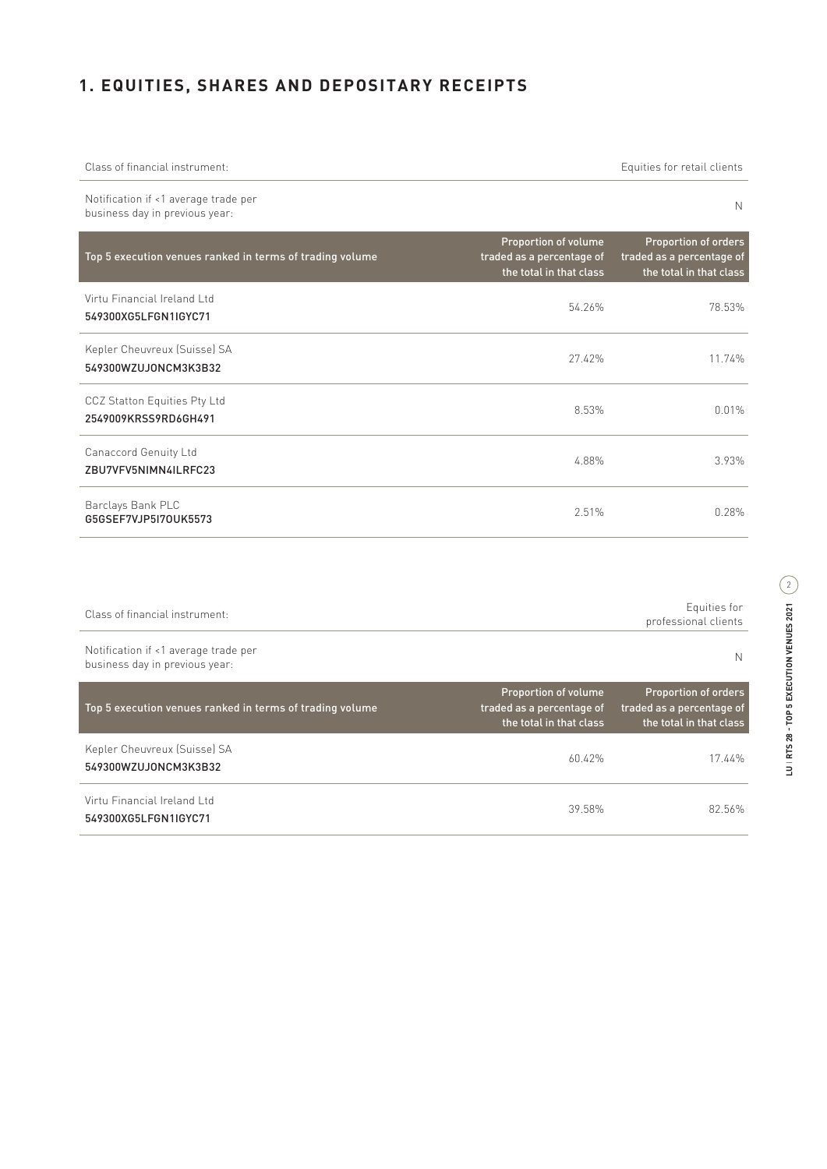# **1. EQUITIES, SHARES AND DEPOSITARY RECEIPTS**

| Class of financial instrument:                                         |                                                                              | Equities for retail clients                                                  |
|------------------------------------------------------------------------|------------------------------------------------------------------------------|------------------------------------------------------------------------------|
| Notification if <1 average trade per<br>business day in previous year: |                                                                              | N                                                                            |
| Top 5 execution venues ranked in terms of trading volume               | Proportion of volume<br>traded as a percentage of<br>the total in that class | Proportion of orders<br>traded as a percentage of<br>the total in that class |
| Virtu Financial Ireland Ltd<br>549300XG5LFGN1IGYC71                    | 54.26%                                                                       | 78.53%                                                                       |
| Kepler Cheuvreux (Suisse) SA<br>549300WZUJONCM3K3B32                   | 27.42%                                                                       | 11.74%                                                                       |
| CCZ Statton Equities Pty Ltd<br>2549009KRSS9RD6GH491                   | 8.53%                                                                        | 0.01%                                                                        |
| Canaccord Genuity Ltd<br>ZBU7VFV5NIMN4ILRFC23                          | 4.88%                                                                        | 3.93%                                                                        |
| Barclays Bank PLC<br>G5GSEF7VJP5I70UK5573                              | 2.51%                                                                        | 0.28%                                                                        |

| Class of financial instrument:                                         |                                                                              | Equities for<br>professional clients                                                |
|------------------------------------------------------------------------|------------------------------------------------------------------------------|-------------------------------------------------------------------------------------|
| Notification if <1 average trade per<br>business day in previous year: |                                                                              | N                                                                                   |
| Top 5 execution venues ranked in terms of trading volume               | Proportion of volume<br>traded as a percentage of<br>the total in that class | <b>Proportion of orders</b><br>traded as a percentage of<br>the total in that class |
| Kepler Cheuvreux (Suisse) SA<br>549300WZUJ0NCM3K3B32                   | 60.42%                                                                       | 17.44%                                                                              |
| Virtu Financial Ireland Ltd<br>549300XG5LFGN1IGYC71                    | 39.58%                                                                       | 82.56%                                                                              |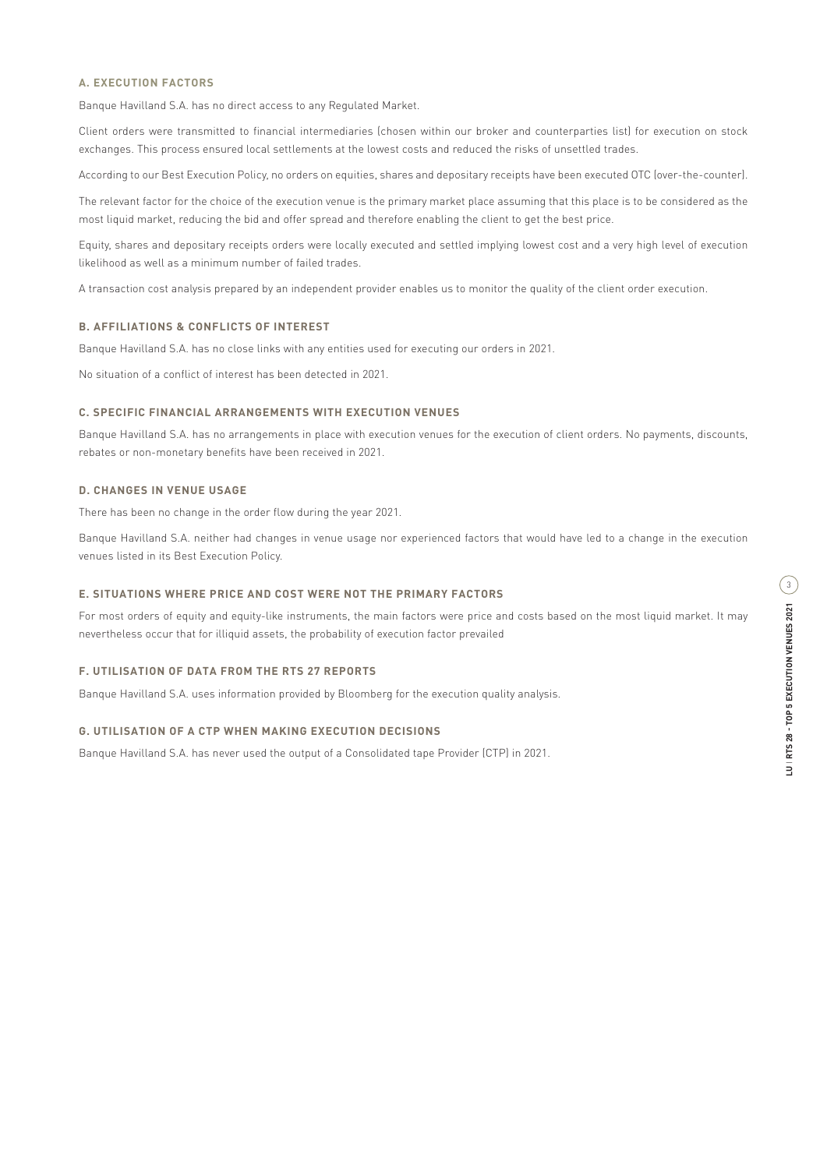Banque Havilland S.A. has no direct access to any Regulated Market.

Client orders were transmitted to financial intermediaries (chosen within our broker and counterparties list) for execution on stock exchanges. This process ensured local settlements at the lowest costs and reduced the risks of unsettled trades.

According to our Best Execution Policy, no orders on equities, shares and depositary receipts have been executed OTC (over-the-counter).

The relevant factor for the choice of the execution venue is the primary market place assuming that this place is to be considered as the most liquid market, reducing the bid and offer spread and therefore enabling the client to get the best price.

Equity, shares and depositary receipts orders were locally executed and settled implying lowest cost and a very high level of execution likelihood as well as a minimum number of failed trades.

A transaction cost analysis prepared by an independent provider enables us to monitor the quality of the client order execution.

### **B. AFFILIATIONS & CONFLICTS OF INTEREST**

Banque Havilland S.A. has no close links with any entities used for executing our orders in 2021.

No situation of a conflict of interest has been detected in 2021.

#### **C. SPECIFIC FINANCIAL ARRANGEMENTS WITH EXECUTION VENUES**

Banque Havilland S.A. has no arrangements in place with execution venues for the execution of client orders. No payments, discounts, rebates or non-monetary benefits have been received in 2021.

#### **D. CHANGES IN VENUE USAGE**

There has been no change in the order flow during the year 2021.

Banque Havilland S.A. neither had changes in venue usage nor experienced factors that would have led to a change in the execution venues listed in its Best Execution Policy.

### **E. SITUATIONS WHERE PRICE AND COST WERE NOT THE PRIMARY FACTORS**

For most orders of equity and equity-like instruments, the main factors were price and costs based on the most liquid market. It may nevertheless occur that for illiquid assets, the probability of execution factor prevailed

### **F. UTILISATION OF DATA FROM THE RTS 27 REPORTS**

Banque Havilland S.A. uses information provided by Bloomberg for the execution quality analysis.

#### **G. UTILISATION OF A CTP WHEN MAKING EXECUTION DECISIONS**

Banque Havilland S.A. has never used the output of a Consolidated tape Provider (CTP) in 2021.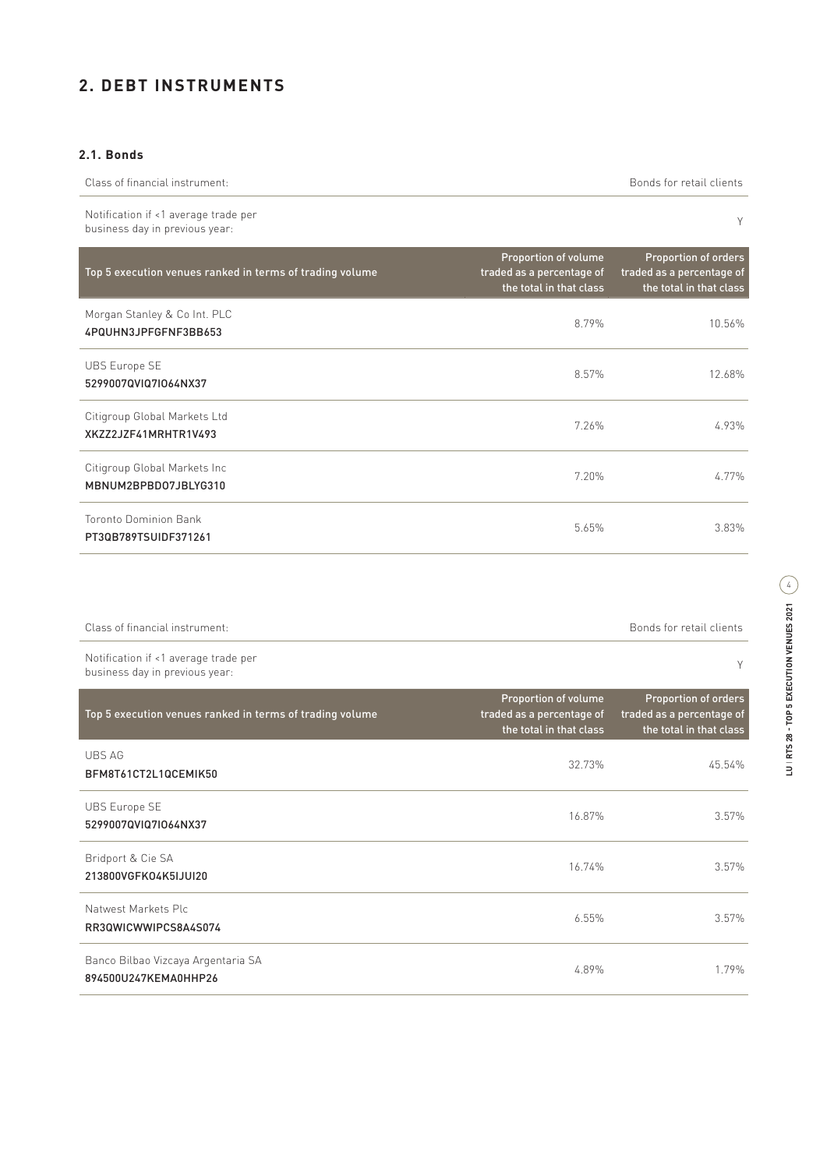# **2. DEBT INSTRUMENTS**

## **2.1. Bonds**

| Class of financial instrument:                                         |                                                                              | Bonds for retail clients                                                            |
|------------------------------------------------------------------------|------------------------------------------------------------------------------|-------------------------------------------------------------------------------------|
| Notification if <1 average trade per<br>business day in previous year: |                                                                              | Υ                                                                                   |
| Top 5 execution venues ranked in terms of trading volume               | Proportion of volume<br>traded as a percentage of<br>the total in that class | <b>Proportion of orders</b><br>traded as a percentage of<br>the total in that class |
| Morgan Stanley & Co Int. PLC<br>4PQUHN3JPFGFNF3BB653                   | 8.79%                                                                        | 10.56%                                                                              |
| <b>UBS Europe SE</b><br>5299007QVIQ7IO64NX37                           | 8.57%                                                                        | 12.68%                                                                              |
| Citigroup Global Markets Ltd<br>XKZZ2JZF41MRHTR1V493                   | 7.26%                                                                        | 4.93%                                                                               |
| Citigroup Global Markets Inc<br>MBNUM2BPBD07JBLYG310                   | 7.20%                                                                        | 4.77%                                                                               |
| Toronto Dominion Bank<br>PT30B789TSUIDF371261                          | 5.65%                                                                        | 3.83%                                                                               |

| Class of financial instrument:                                         | Bonds for retail clients |
|------------------------------------------------------------------------|--------------------------|
| Notification if <1 average trade per<br>business day in previous year: |                          |

| Top 5 execution venues ranked in terms of trading volume   | Proportion of volume<br>traded as a percentage of<br>the total in that class | <b>Proportion of orders</b><br>traded as a percentage of<br>the total in that class |
|------------------------------------------------------------|------------------------------------------------------------------------------|-------------------------------------------------------------------------------------|
| UBS AG<br>BFM8T61CT2L1QCEMIK50                             | 32.73%                                                                       | 45.54%                                                                              |
| <b>UBS Europe SE</b><br>5299007QVIQ7IO64NX37               | 16.87%                                                                       | 3.57%                                                                               |
| Bridport & Cie SA<br>213800VGFK04K5IJUI20                  | 16.74%                                                                       | 3.57%                                                                               |
| Natwest Markets Plc.<br>RR3QWICWWIPCS8A4S074               | 6.55%                                                                        | 3.57%                                                                               |
| Banco Bilbao Vizcaya Argentaria SA<br>894500U247KEMA0HHP26 | 4.89%                                                                        | 1.79%                                                                               |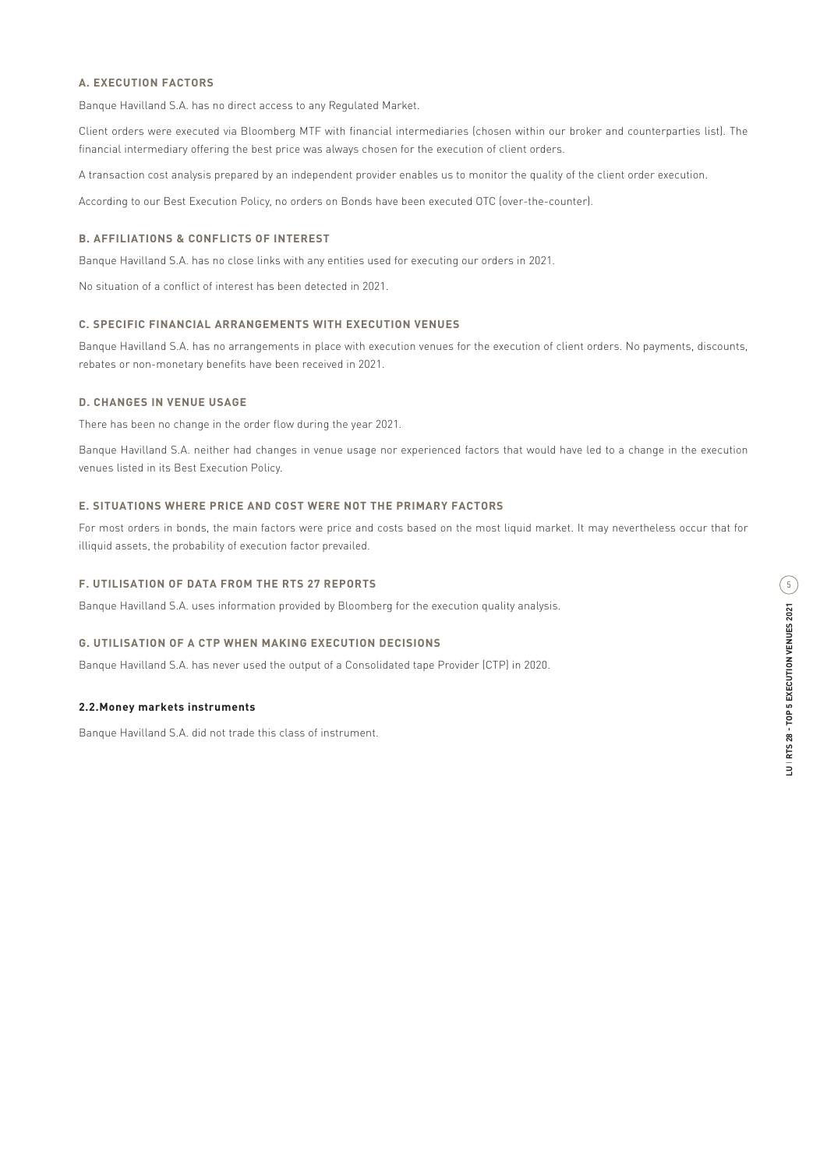Banque Havilland S.A. has no direct access to any Regulated Market.

Client orders were executed via Bloomberg MTF with financial intermediaries (chosen within our broker and counterparties list). The financial intermediary offering the best price was always chosen for the execution of client orders.

A transaction cost analysis prepared by an independent provider enables us to monitor the quality of the client order execution.

According to our Best Execution Policy, no orders on Bonds have been executed OTC (over-the-counter).

### **B. AFFILIATIONS & CONFLICTS OF INTEREST**

Banque Havilland S.A. has no close links with any entities used for executing our orders in 2021.

No situation of a conflict of interest has been detected in 2021.

#### **C. SPECIFIC FINANCIAL ARRANGEMENTS WITH EXECUTION VENUES**

Banque Havilland S.A. has no arrangements in place with execution venues for the execution of client orders. No payments, discounts, rebates or non-monetary benefits have been received in 2021.

### **D. CHANGES IN VENUE USAGE**

There has been no change in the order flow during the year 2021.

Banque Havilland S.A. neither had changes in venue usage nor experienced factors that would have led to a change in the execution venues listed in its Best Execution Policy.

#### **E. SITUATIONS WHERE PRICE AND COST WERE NOT THE PRIMARY FACTORS**

For most orders in bonds, the main factors were price and costs based on the most liquid market. It may nevertheless occur that for illiquid assets, the probability of execution factor prevailed.

#### **F. UTILISATION OF DATA FROM THE RTS 27 REPORTS**

Banque Havilland S.A. uses information provided by Bloomberg for the execution quality analysis.

#### **G. UTILISATION OF A CTP WHEN MAKING EXECUTION DECISIONS**

Banque Havilland S.A. has never used the output of a Consolidated tape Provider (CTP) in 2020.

#### **2.2.Money markets instruments**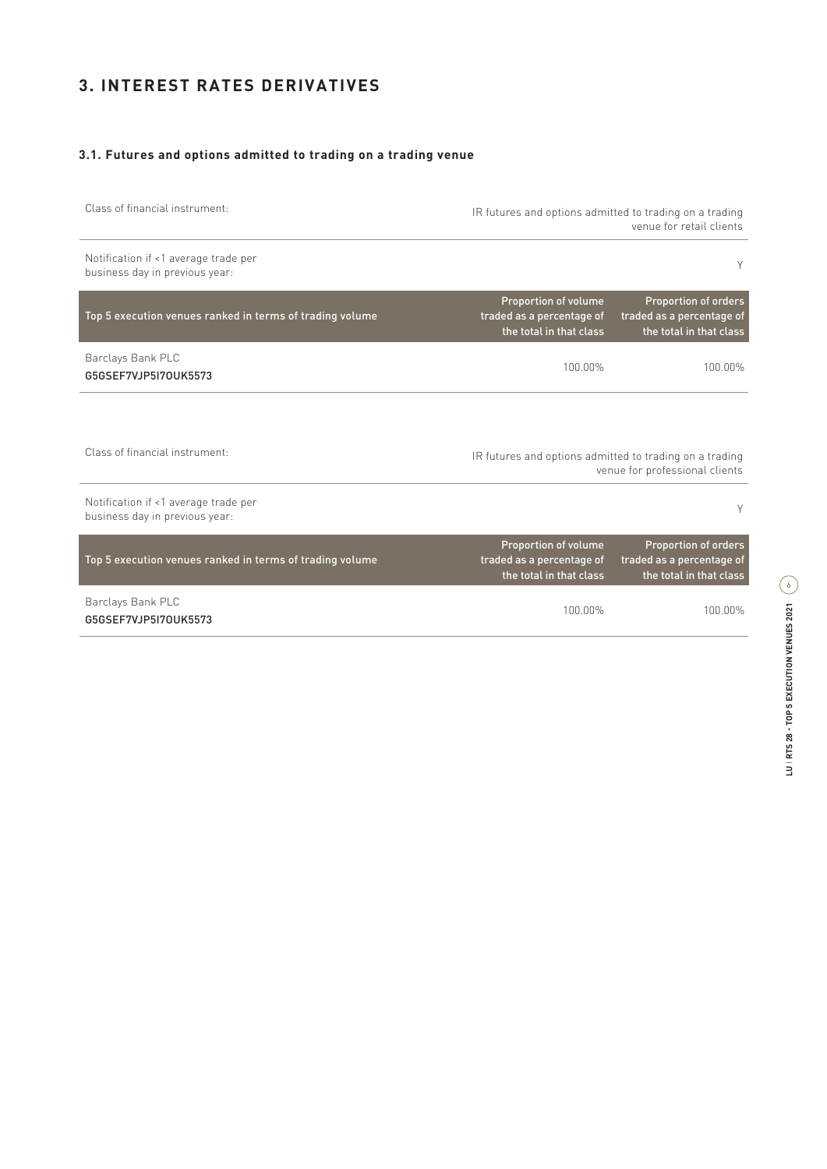# **3. INTEREST RATES DERIVATIVES**

## **3.1. Futures and options admitted to trading on a trading venue**

Class of financial instrument: IR futures and options admitted to trading on a trading venue for retail clients

Notification if <1 average trade per business day in previous year: <sup>Y</sup>

| Top 5 execution venues ranked in terms of trading volume | Proportion of volume<br>traded as a percentage of<br>the total in that class | <b>Proportion of orders</b><br>traded as a percentage of<br>the total in that class |
|----------------------------------------------------------|------------------------------------------------------------------------------|-------------------------------------------------------------------------------------|
| Barclays Bank PLC<br>G5GSEF7VJP5I70UK5573                | 100.00%                                                                      | 100.00%                                                                             |

Class of financial instrument: IR futures and options admitted to trading on a trading venue for professional clients

| Notification if <1 average trade per<br>business day in previous year: |                                                                                     | Υ                                                                                   |
|------------------------------------------------------------------------|-------------------------------------------------------------------------------------|-------------------------------------------------------------------------------------|
| Top 5 execution venues ranked in terms of trading volume               | <b>Proportion of volume</b><br>traded as a percentage of<br>the total in that class | <b>Proportion of orders</b><br>traded as a percentage of<br>the total in that class |
| Barclays Bank PLC<br>G5GSEF7VJP5I70UK5573                              | 100.00%                                                                             | 100.00%                                                                             |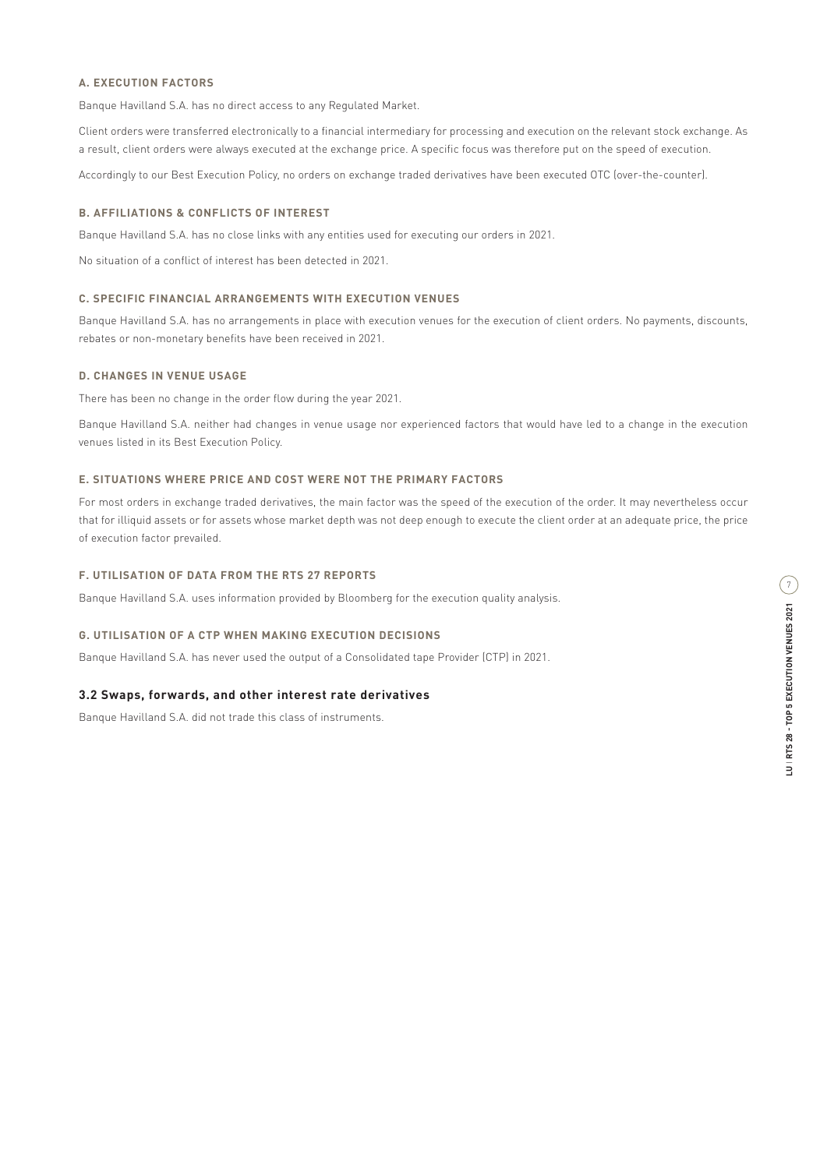Banque Havilland S.A. has no direct access to any Regulated Market.

Client orders were transferred electronically to a financial intermediary for processing and execution on the relevant stock exchange. As a result, client orders were always executed at the exchange price. A specific focus was therefore put on the speed of execution.

Accordingly to our Best Execution Policy, no orders on exchange traded derivatives have been executed OTC (over-the-counter).

#### **B. AFFILIATIONS & CONFLICTS OF INTEREST**

Banque Havilland S.A. has no close links with any entities used for executing our orders in 2021.

No situation of a conflict of interest has been detected in 2021.

## **C. SPECIFIC FINANCIAL ARRANGEMENTS WITH EXECUTION VENUES**

Banque Havilland S.A. has no arrangements in place with execution venues for the execution of client orders. No payments, discounts, rebates or non-monetary benefits have been received in 2021.

### **D. CHANGES IN VENUE USAGE**

There has been no change in the order flow during the year 2021.

Banque Havilland S.A. neither had changes in venue usage nor experienced factors that would have led to a change in the execution venues listed in its Best Execution Policy.

### **E. SITUATIONS WHERE PRICE AND COST WERE NOT THE PRIMARY FACTORS**

For most orders in exchange traded derivatives, the main factor was the speed of the execution of the order. It may nevertheless occur that for illiquid assets or for assets whose market depth was not deep enough to execute the client order at an adequate price, the price of execution factor prevailed.

## **F. UTILISATION OF DATA FROM THE RTS 27 REPORTS**

Banque Havilland S.A. uses information provided by Bloomberg for the execution quality analysis.

#### **G. UTILISATION OF A CTP WHEN MAKING EXECUTION DECISIONS**

Banque Havilland S.A. has never used the output of a Consolidated tape Provider (CTP) in 2021.

### **3.2 Swaps, forwards, and other interest rate derivatives**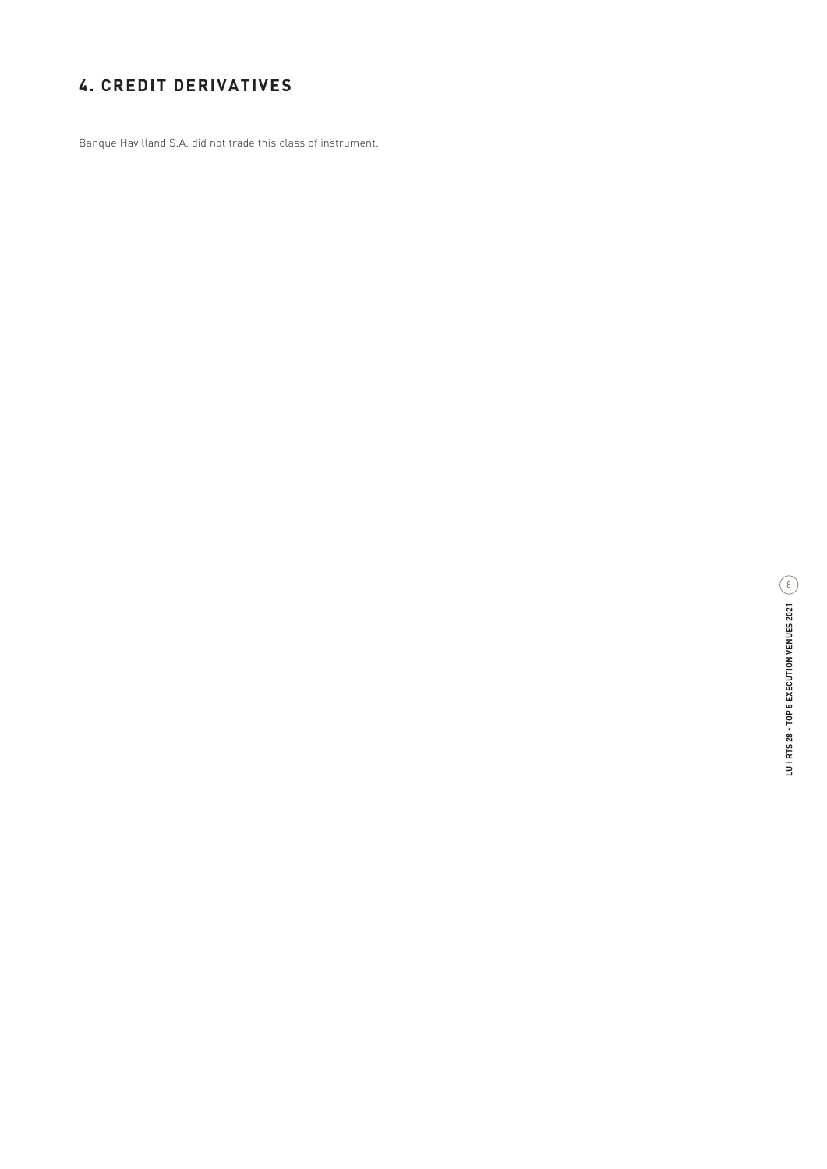# **4. CREDIT DERIVATIVES**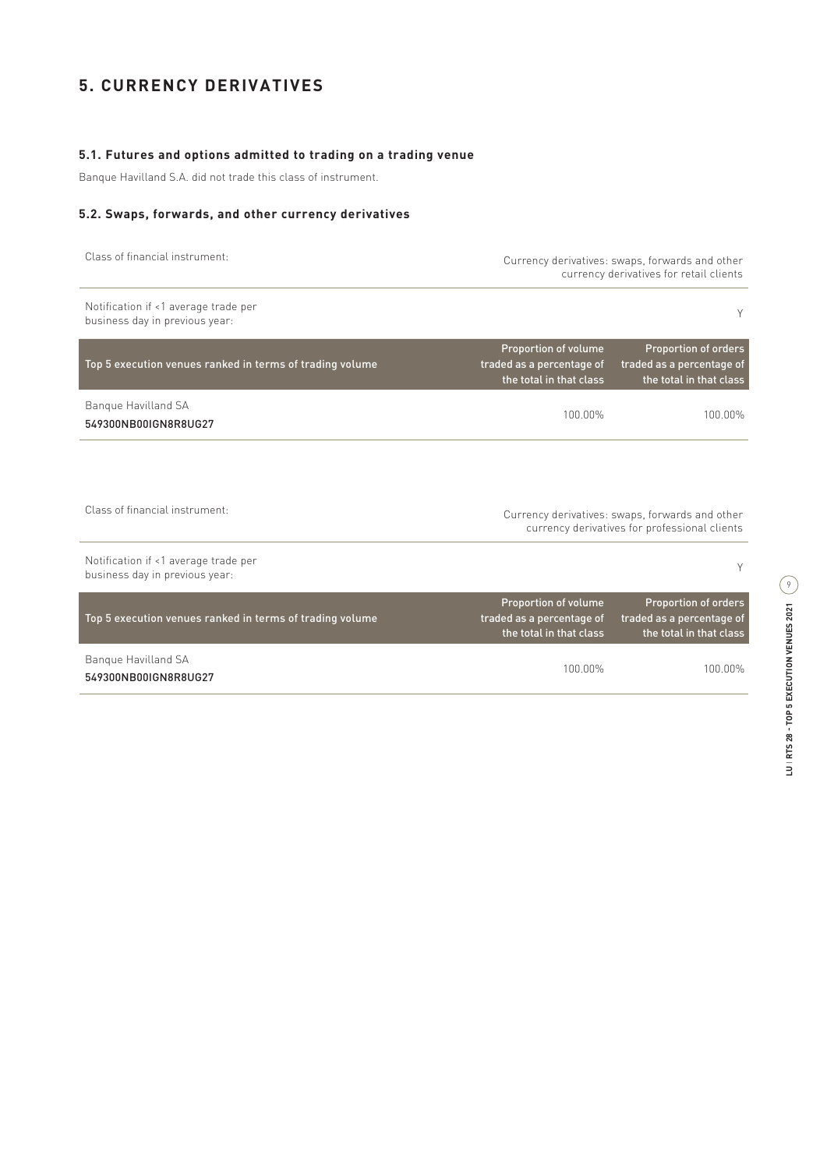# **5. CURRENCY DERIVATIVES**

## **5.1. Futures and options admitted to trading on a trading venue**

Banque Havilland S.A. did not trade this class of instrument.

#### **5.2. Swaps, forwards, and other currency derivatives**

|  |  |  | Class of financial instrument: |
|--|--|--|--------------------------------|
|--|--|--|--------------------------------|

Currency derivatives: swaps, forwards and other currency derivatives for retail clients

| Notification if <1 average trade per<br>business day in previous year: |                                                                              | Υ                                                                                   |
|------------------------------------------------------------------------|------------------------------------------------------------------------------|-------------------------------------------------------------------------------------|
| Top 5 execution venues ranked in terms of trading volume               | Proportion of volume<br>traded as a percentage of<br>the total in that class | <b>Proportion of orders</b><br>traded as a percentage of<br>the total in that class |
| Bangue Havilland SA<br>549300NB00IGN8R8UG27                            | 100.00%                                                                      | 100.00%                                                                             |
|                                                                        |                                                                              |                                                                                     |

| Class of financial instrument:                                         | Currency derivatives: swaps, forwards and other<br>currency derivatives for professional clients |                                                                                     |
|------------------------------------------------------------------------|--------------------------------------------------------------------------------------------------|-------------------------------------------------------------------------------------|
| Notification if <1 average trade per<br>business day in previous year: |                                                                                                  |                                                                                     |
| Top 5 execution venues ranked in terms of trading volume               | <b>Proportion of volume</b><br>traded as a percentage of<br>the total in that class              | <b>Proportion of orders</b><br>traded as a percentage of<br>the total in that class |
| Bangue Havilland SA<br>549300NB00IGN8R8UG27                            | 100 00%                                                                                          | 100 00%                                                                             |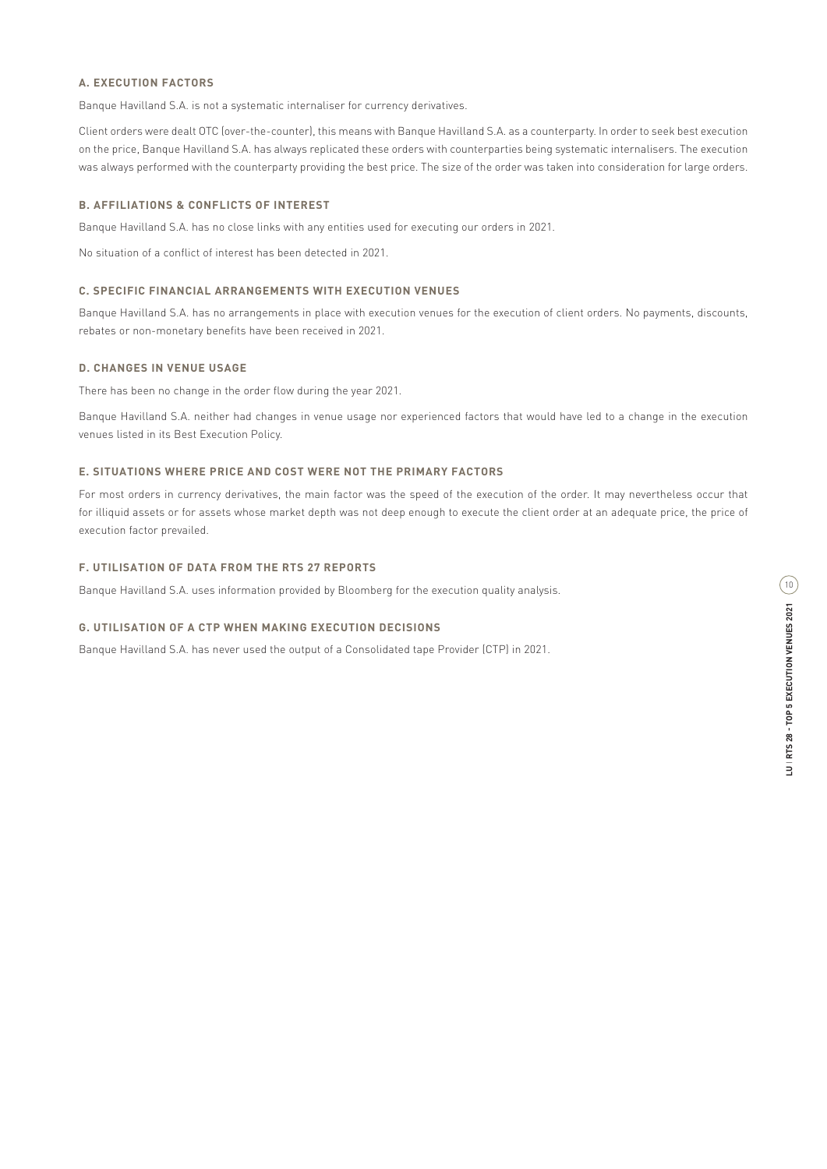Banque Havilland S.A. is not a systematic internaliser for currency derivatives.

Client orders were dealt OTC (over-the-counter), this means with Banque Havilland S.A. as a counterparty. In order to seek best execution on the price, Banque Havilland S.A. has always replicated these orders with counterparties being systematic internalisers. The execution was always performed with the counterparty providing the best price. The size of the order was taken into consideration for large orders.

#### **B. AFFILIATIONS & CONFLICTS OF INTEREST**

Banque Havilland S.A. has no close links with any entities used for executing our orders in 2021.

No situation of a conflict of interest has been detected in 2021.

#### **C. SPECIFIC FINANCIAL ARRANGEMENTS WITH EXECUTION VENUES**

Banque Havilland S.A. has no arrangements in place with execution venues for the execution of client orders. No payments, discounts, rebates or non-monetary benefits have been received in 2021.

#### **D. CHANGES IN VENUE USAGE**

There has been no change in the order flow during the year 2021.

Banque Havilland S.A. neither had changes in venue usage nor experienced factors that would have led to a change in the execution venues listed in its Best Execution Policy.

#### **E. SITUATIONS WHERE PRICE AND COST WERE NOT THE PRIMARY FACTORS**

For most orders in currency derivatives, the main factor was the speed of the execution of the order. It may nevertheless occur that for illiquid assets or for assets whose market depth was not deep enough to execute the client order at an adequate price, the price of execution factor prevailed.

#### **F. UTILISATION OF DATA FROM THE RTS 27 REPORTS**

Banque Havilland S.A. uses information provided by Bloomberg for the execution quality analysis.

#### **G. UTILISATION OF A CTP WHEN MAKING EXECUTION DECISIONS**

Banque Havilland S.A. has never used the output of a Consolidated tape Provider (CTP) in 2021.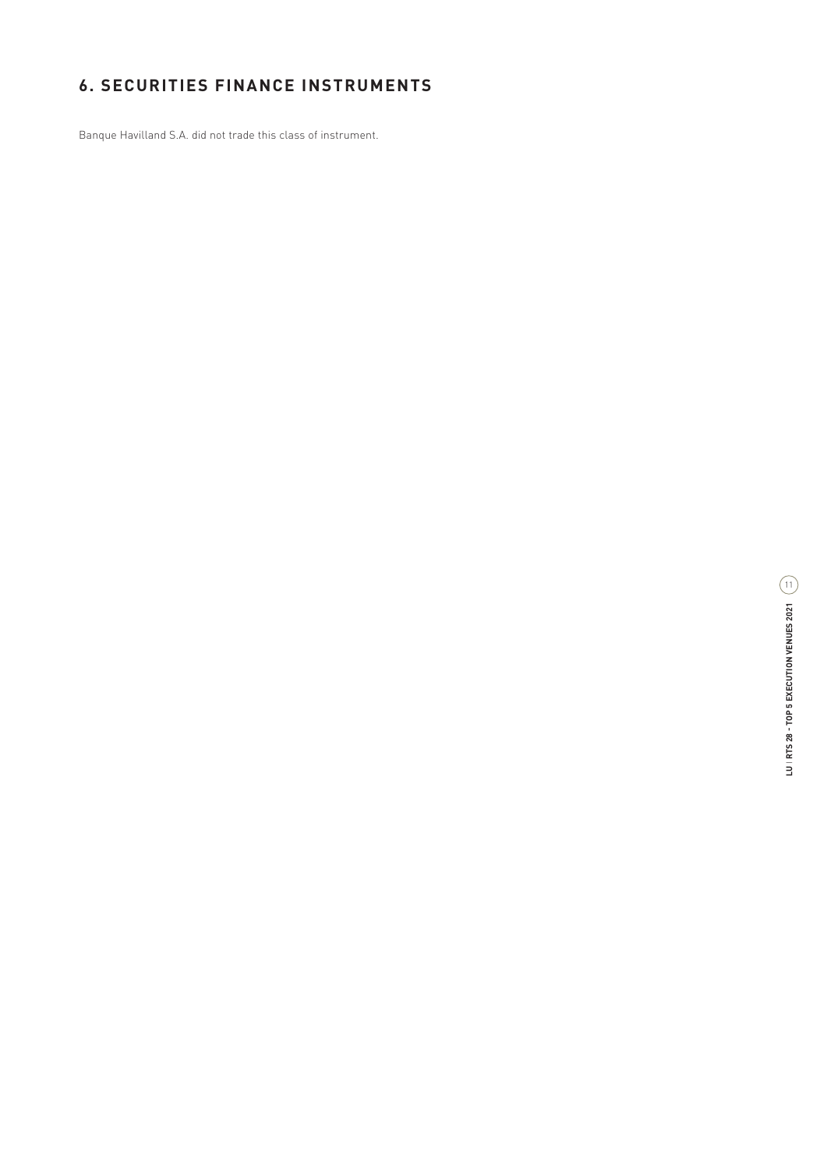# **6. SECURITIES FINANCE INSTRUMENTS**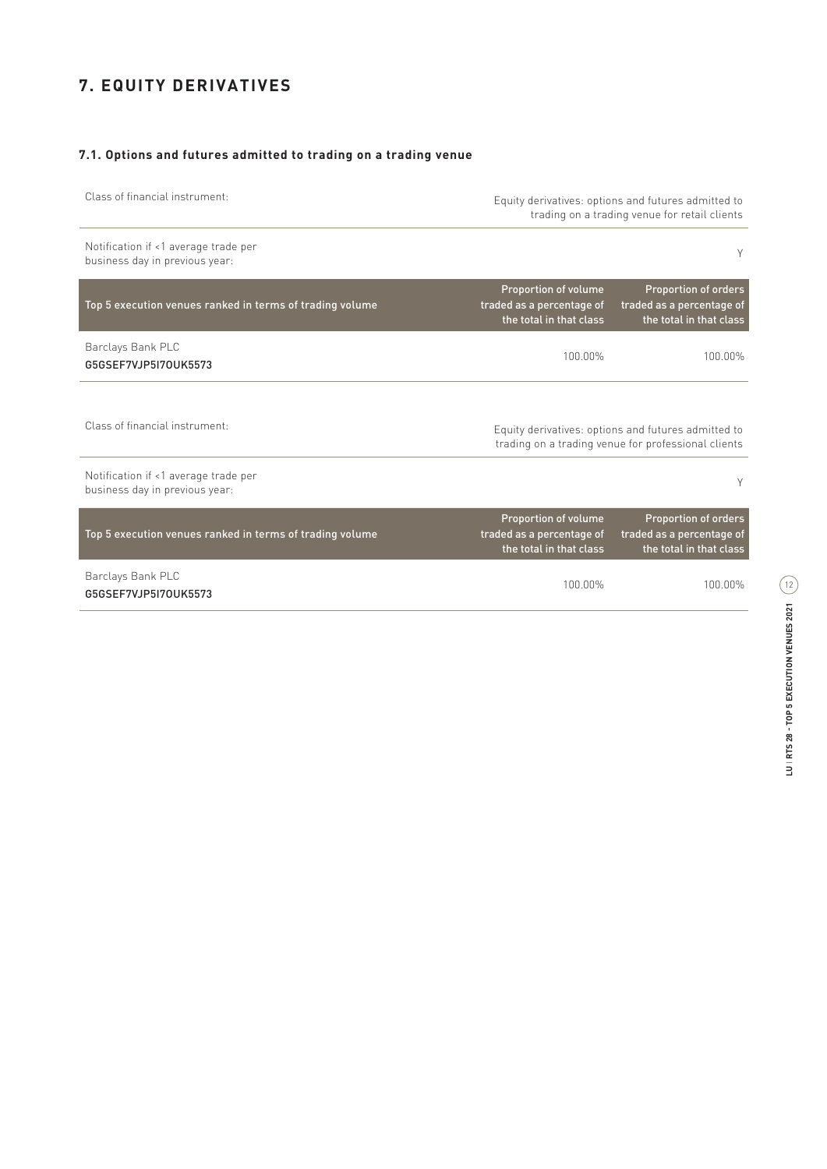# **7. EQUITY DERIVATIVES**

## **7.1. Options and futures admitted to trading on a trading venue**

| Class of financial instrument:                                         | Equity derivatives: options and futures admitted to<br>trading on a trading venue for retail clients |                                                                                                            |
|------------------------------------------------------------------------|------------------------------------------------------------------------------------------------------|------------------------------------------------------------------------------------------------------------|
| Notification if <1 average trade per<br>business day in previous year: |                                                                                                      | Υ                                                                                                          |
| Top 5 execution venues ranked in terms of trading volume               | Proportion of volume<br>traded as a percentage of<br>the total in that class                         | <b>Proportion of orders</b><br>traded as a percentage of<br>the total in that class                        |
| Barclays Bank PLC<br>G5GSEF7VJP5I70UK5573                              | 100.00%                                                                                              | 100.00%                                                                                                    |
| Class of financial instrument:                                         |                                                                                                      | Equity derivatives: options and futures admitted to<br>trading on a trading venue for professional clients |
| Notification if <1 average trade per<br>business day in previous year: |                                                                                                      | Υ                                                                                                          |
| Top 5 execution venues ranked in terms of trading volume               | Proportion of volume<br>traded as a percentage of<br>the total in that class                         | <b>Proportion of orders</b><br>traded as a percentage of<br>the total in that class                        |
| Barclays Bank PLC<br>G5GSEF7VJP5I70UK5573                              | 100.00%                                                                                              | 100.00%                                                                                                    |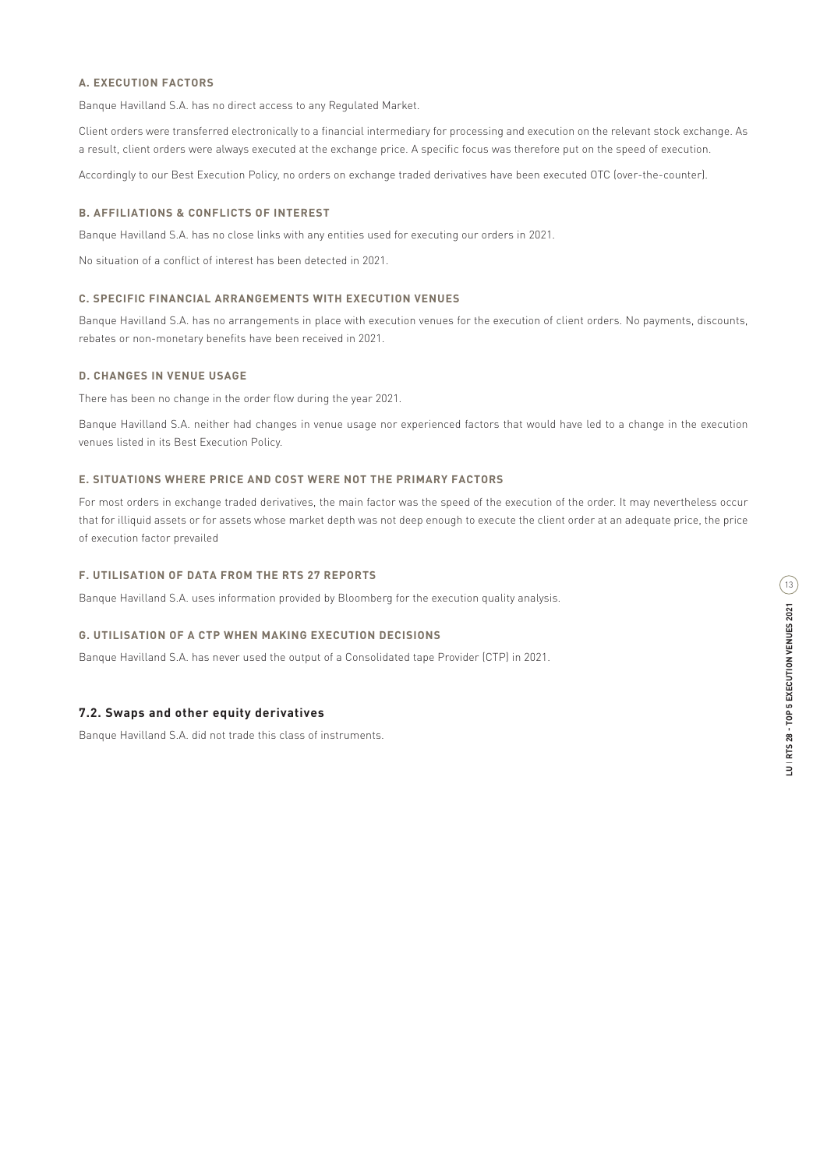Banque Havilland S.A. has no direct access to any Regulated Market.

Client orders were transferred electronically to a financial intermediary for processing and execution on the relevant stock exchange. As a result, client orders were always executed at the exchange price. A specific focus was therefore put on the speed of execution.

Accordingly to our Best Execution Policy, no orders on exchange traded derivatives have been executed OTC (over-the-counter).

#### **B. AFFILIATIONS & CONFLICTS OF INTEREST**

Banque Havilland S.A. has no close links with any entities used for executing our orders in 2021.

No situation of a conflict of interest has been detected in 2021.

## **C. SPECIFIC FINANCIAL ARRANGEMENTS WITH EXECUTION VENUES**

Banque Havilland S.A. has no arrangements in place with execution venues for the execution of client orders. No payments, discounts, rebates or non-monetary benefits have been received in 2021.

### **D. CHANGES IN VENUE USAGE**

There has been no change in the order flow during the year 2021.

Banque Havilland S.A. neither had changes in venue usage nor experienced factors that would have led to a change in the execution venues listed in its Best Execution Policy.

### **E. SITUATIONS WHERE PRICE AND COST WERE NOT THE PRIMARY FACTORS**

For most orders in exchange traded derivatives, the main factor was the speed of the execution of the order. It may nevertheless occur that for illiquid assets or for assets whose market depth was not deep enough to execute the client order at an adequate price, the price of execution factor prevailed

## **F. UTILISATION OF DATA FROM THE RTS 27 REPORTS**

Banque Havilland S.A. uses information provided by Bloomberg for the execution quality analysis.

#### **G. UTILISATION OF A CTP WHEN MAKING EXECUTION DECISIONS**

Banque Havilland S.A. has never used the output of a Consolidated tape Provider (CTP) in 2021.

#### **7.2. Swaps and other equity derivatives**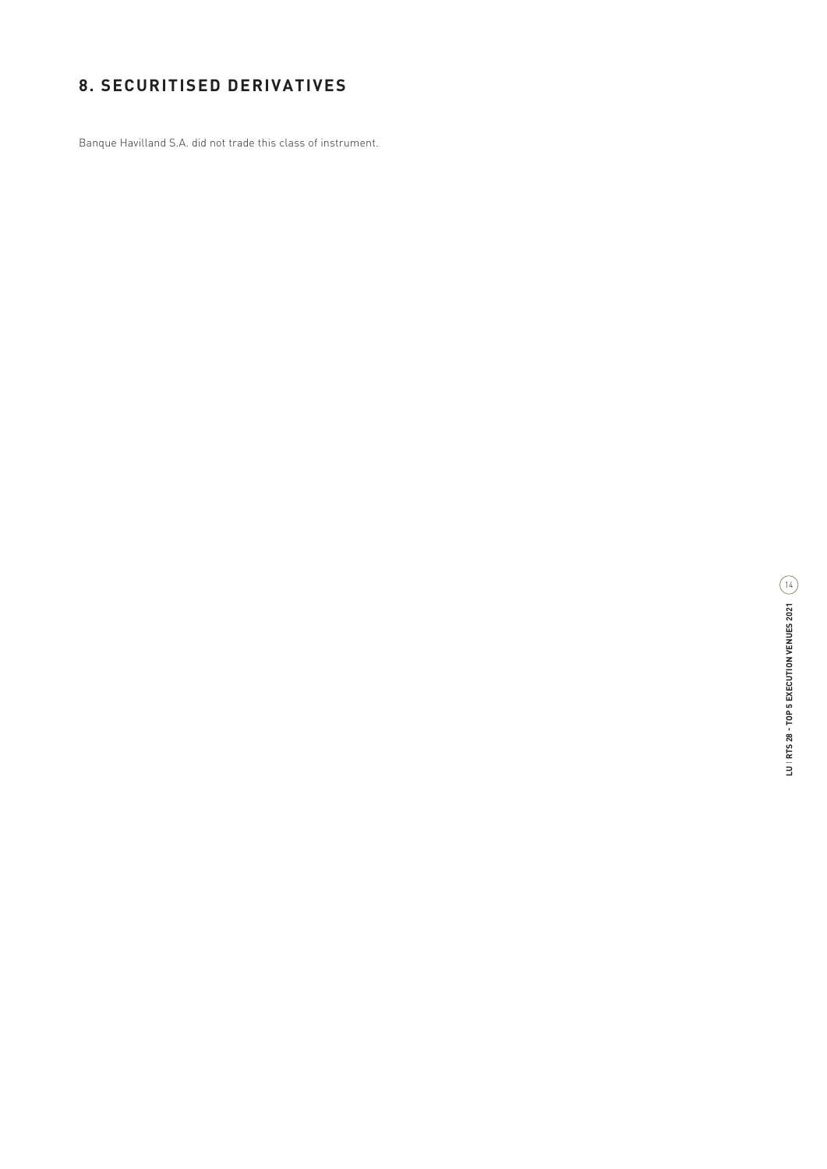# **8. SECURITISED DERIVATIVES**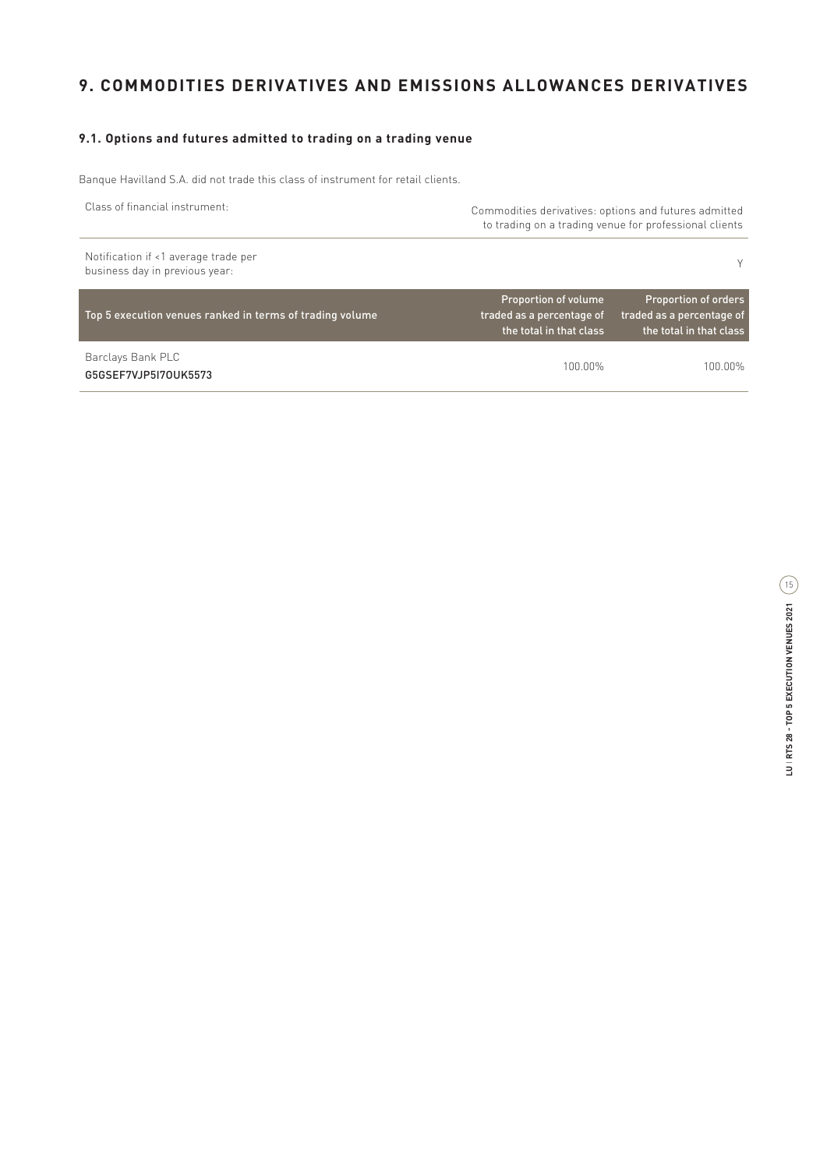# **9. COMMODITIES DERIVATIVES AND EMISSIONS ALLOWANCES DERIVATIVES**

## **9.1. Options and futures admitted to trading on a trading venue**

Banque Havilland S.A. did not trade this class of instrument for retail clients.

| Class of financial instrument:                                         | Commodities derivatives: options and futures admitted<br>to trading on a trading venue for professional clients |                                                                                     |
|------------------------------------------------------------------------|-----------------------------------------------------------------------------------------------------------------|-------------------------------------------------------------------------------------|
| Notification if <1 average trade per<br>business day in previous year: |                                                                                                                 | v.                                                                                  |
| Top 5 execution venues ranked in terms of trading volume               | Proportion of volume<br>traded as a percentage of<br>the total in that class                                    | <b>Proportion of orders</b><br>traded as a percentage of<br>the total in that class |

Barclays Bank PLC G5GSEF7VJP5I7OUK5573

100.00% 100.00%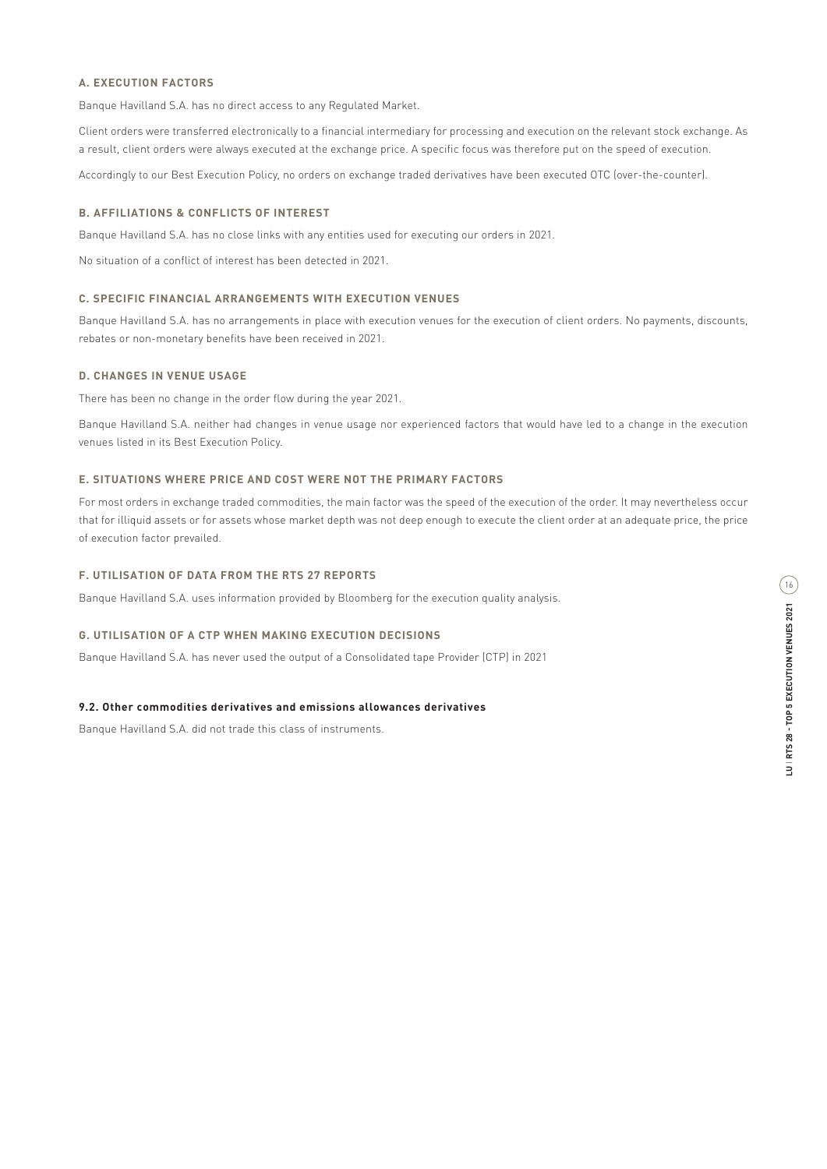Banque Havilland S.A. has no direct access to any Regulated Market.

Client orders were transferred electronically to a financial intermediary for processing and execution on the relevant stock exchange. As a result, client orders were always executed at the exchange price. A specific focus was therefore put on the speed of execution.

Accordingly to our Best Execution Policy, no orders on exchange traded derivatives have been executed OTC (over-the-counter).

#### **B. AFFILIATIONS & CONFLICTS OF INTEREST**

Banque Havilland S.A. has no close links with any entities used for executing our orders in 2021.

No situation of a conflict of interest has been detected in 2021.

## **C. SPECIFIC FINANCIAL ARRANGEMENTS WITH EXECUTION VENUES**

Banque Havilland S.A. has no arrangements in place with execution venues for the execution of client orders. No payments, discounts, rebates or non-monetary benefits have been received in 2021.

### **D. CHANGES IN VENUE USAGE**

There has been no change in the order flow during the year 2021.

Banque Havilland S.A. neither had changes in venue usage nor experienced factors that would have led to a change in the execution venues listed in its Best Execution Policy.

### **E. SITUATIONS WHERE PRICE AND COST WERE NOT THE PRIMARY FACTORS**

For most orders in exchange traded commodities, the main factor was the speed of the execution of the order. It may nevertheless occur that for illiquid assets or for assets whose market depth was not deep enough to execute the client order at an adequate price, the price of execution factor prevailed.

## **F. UTILISATION OF DATA FROM THE RTS 27 REPORTS**

Banque Havilland S.A. uses information provided by Bloomberg for the execution quality analysis.

#### **G. UTILISATION OF A CTP WHEN MAKING EXECUTION DECISIONS**

Banque Havilland S.A. has never used the output of a Consolidated tape Provider (CTP) in 2021

#### **9.2. Other commodities derivatives and emissions allowances derivatives**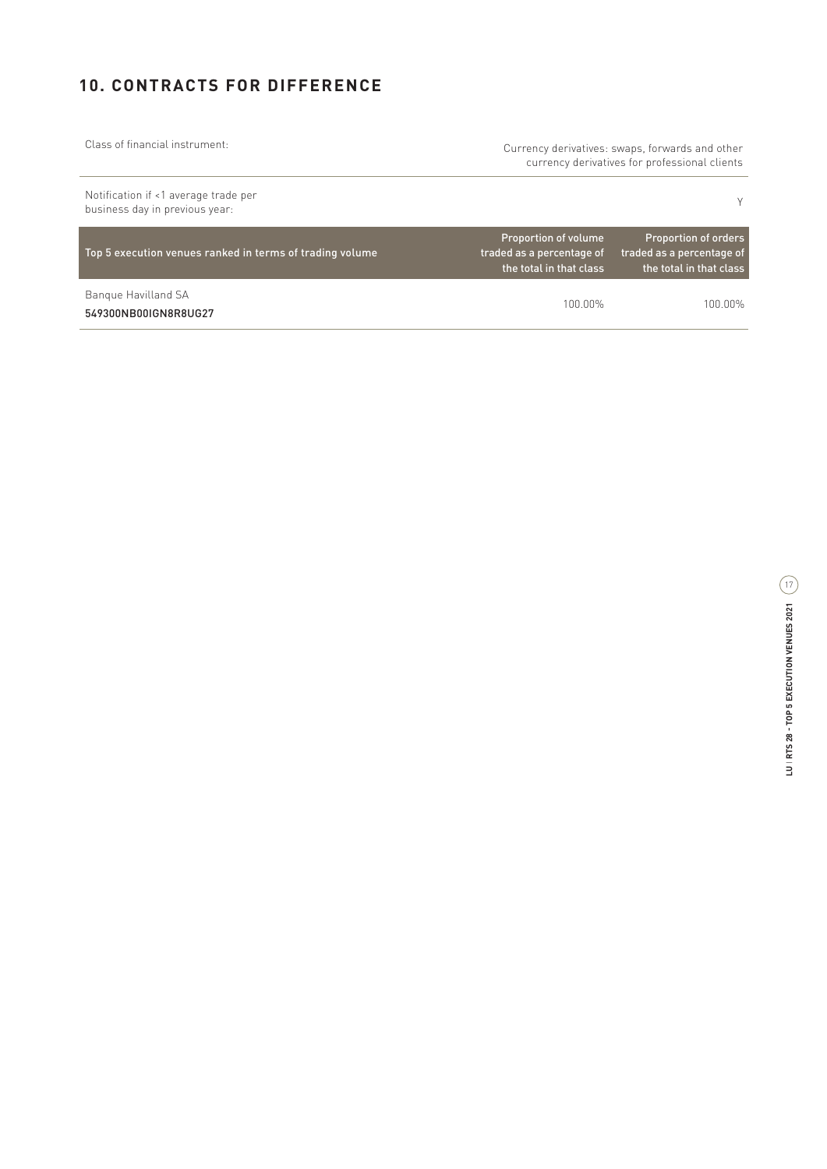# **10. CONTRACTS FOR DIFFERENCE**

| Class of financial instrument:                                         | Currency derivatives: swaps, forwards and other<br>currency derivatives for professional clients |                                                                                     |
|------------------------------------------------------------------------|--------------------------------------------------------------------------------------------------|-------------------------------------------------------------------------------------|
| Notification if <1 average trade per<br>business day in previous year: |                                                                                                  | Υ                                                                                   |
| Top 5 execution venues ranked in terms of trading volume               | Proportion of volume<br>traded as a percentage of<br>the total in that class                     | <b>Proportion of orders</b><br>traded as a percentage of<br>the total in that class |
| Bangue Havilland SA<br>549300NB00IGN8R8UG27                            | 1በበ በበ%                                                                                          | 100 00%                                                                             |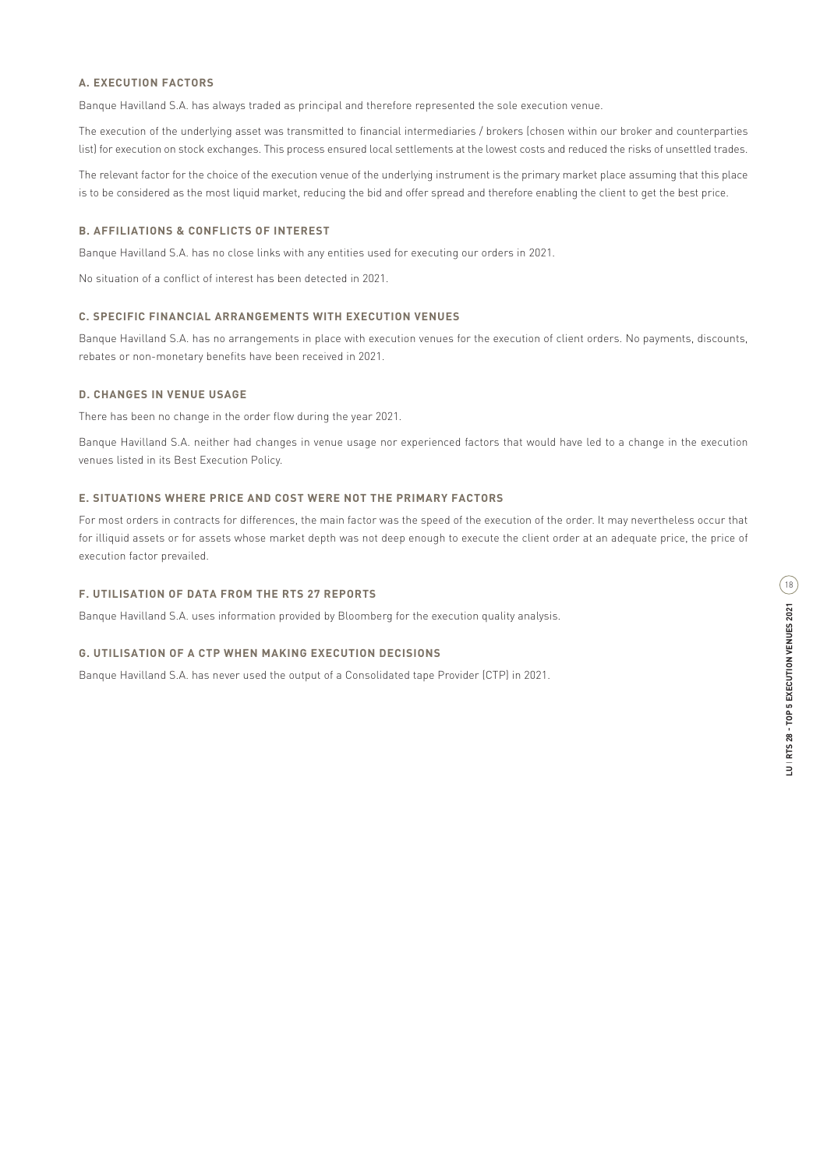Banque Havilland S.A. has always traded as principal and therefore represented the sole execution venue.

The execution of the underlying asset was transmitted to financial intermediaries / brokers (chosen within our broker and counterparties list) for execution on stock exchanges. This process ensured local settlements at the lowest costs and reduced the risks of unsettled trades.

The relevant factor for the choice of the execution venue of the underlying instrument is the primary market place assuming that this place is to be considered as the most liquid market, reducing the bid and offer spread and therefore enabling the client to get the best price.

#### **B. AFFILIATIONS & CONFLICTS OF INTEREST**

Banque Havilland S.A. has no close links with any entities used for executing our orders in 2021.

No situation of a conflict of interest has been detected in 2021.

#### **C. SPECIFIC FINANCIAL ARRANGEMENTS WITH EXECUTION VENUES**

Banque Havilland S.A. has no arrangements in place with execution venues for the execution of client orders. No payments, discounts, rebates or non-monetary benefits have been received in 2021.

### **D. CHANGES IN VENUE USAGE**

There has been no change in the order flow during the year 2021.

Banque Havilland S.A. neither had changes in venue usage nor experienced factors that would have led to a change in the execution venues listed in its Best Execution Policy.

### **E. SITUATIONS WHERE PRICE AND COST WERE NOT THE PRIMARY FACTORS**

For most orders in contracts for differences, the main factor was the speed of the execution of the order. It may nevertheless occur that for illiquid assets or for assets whose market depth was not deep enough to execute the client order at an adequate price, the price of execution factor prevailed.

#### **F. UTILISATION OF DATA FROM THE RTS 27 REPORTS**

Banque Havilland S.A. uses information provided by Bloomberg for the execution quality analysis.

#### **G. UTILISATION OF A CTP WHEN MAKING EXECUTION DECISIONS**

Banque Havilland S.A. has never used the output of a Consolidated tape Provider (CTP) in 2021.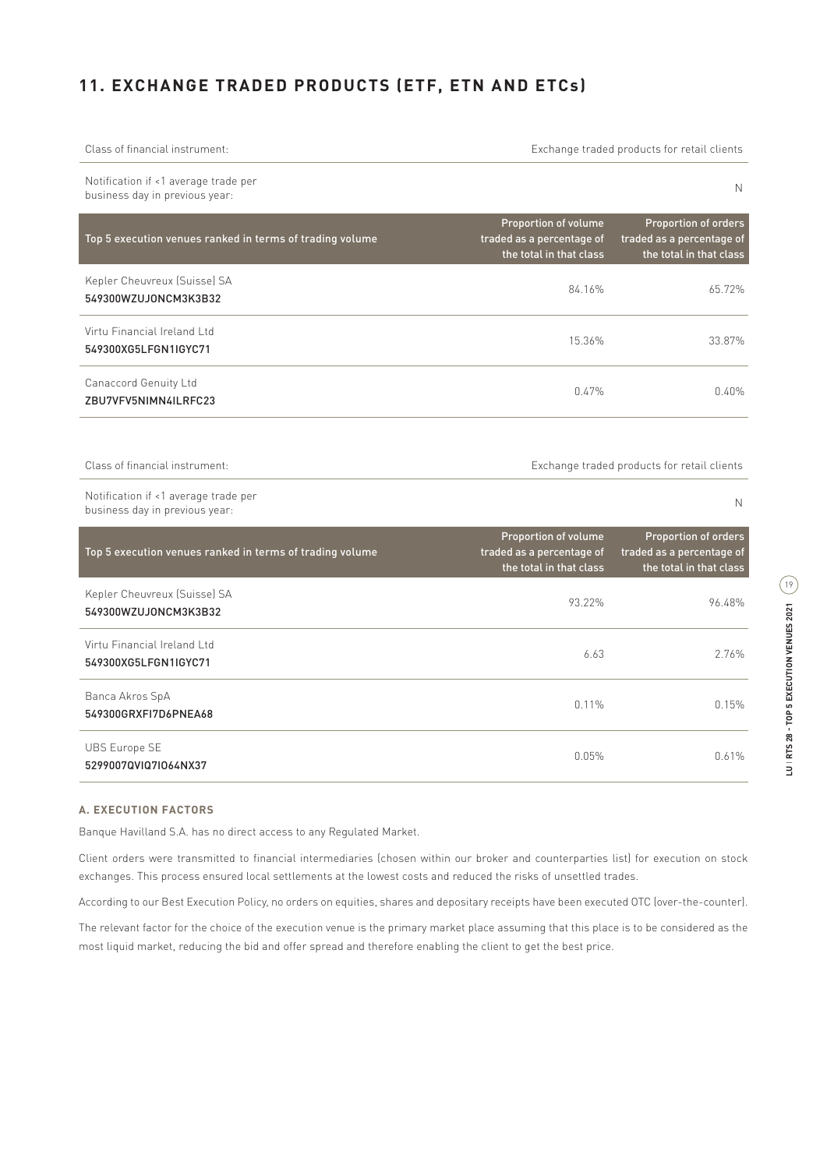# **11. EXCHANGE TRADED PRODUCTS (ETF, ETN AND ETCs)**

| Class of financial instrument:                                         | Exchange traded products for retail clients                                  |                                                                                     |
|------------------------------------------------------------------------|------------------------------------------------------------------------------|-------------------------------------------------------------------------------------|
| Notification if <1 average trade per<br>business day in previous year: |                                                                              | N                                                                                   |
| Top 5 execution venues ranked in terms of trading volume               | Proportion of volume<br>traded as a percentage of<br>the total in that class | <b>Proportion of orders</b><br>traded as a percentage of<br>the total in that class |
| Kepler Cheuvreux (Suisse) SA<br>549300WZUJONCM3K3B32                   | 84.16%                                                                       | 65.72%                                                                              |
| Virtu Financial Ireland Ltd<br>549300XG5LFGN1IGYC71                    | 15.36%                                                                       | 33.87%                                                                              |
| Canaccord Genuity Ltd<br>ZBU7VFV5NIMN4ILRFC23                          | 0.47%                                                                        | 0.40%                                                                               |
|                                                                        |                                                                              |                                                                                     |
| Class of financial instrument:                                         | Exchange traded products for retail clients                                  |                                                                                     |
| Notification if <1 average trade per<br>business day in previous year: |                                                                              | N                                                                                   |
| Top 5 execution venues ranked in terms of trading volume               | Proportion of volume<br>traded as a percentage of<br>the total in that class | Proportion of orders<br>traded as a percentage of<br>the total in that class        |
| Kepler Cheuvreux (Suisse) SA<br>549300WZUJONCM3K3B32                   | 93.22%                                                                       | 96.48%                                                                              |
| Virtu Financial Ireland Ltd<br>549300XG5LFGN1IGYC71                    | 6.63                                                                         | 2.76%                                                                               |
| Banca Akros SpA<br>549300GRXFI7D6PNEA68                                | 0.11%                                                                        | 0.15%                                                                               |
| <b>UBS Europe SE</b><br>5299007QVIQ7IO64NX37                           | 0.05%                                                                        | 0.61%                                                                               |

#### **A. EXECUTION FACTORS**

Banque Havilland S.A. has no direct access to any Regulated Market.

Client orders were transmitted to financial intermediaries (chosen within our broker and counterparties list) for execution on stock exchanges. This process ensured local settlements at the lowest costs and reduced the risks of unsettled trades.

According to our Best Execution Policy, no orders on equities, shares and depositary receipts have been executed OTC (over-the-counter).

The relevant factor for the choice of the execution venue is the primary market place assuming that this place is to be considered as the most liquid market, reducing the bid and offer spread and therefore enabling the client to get the best price.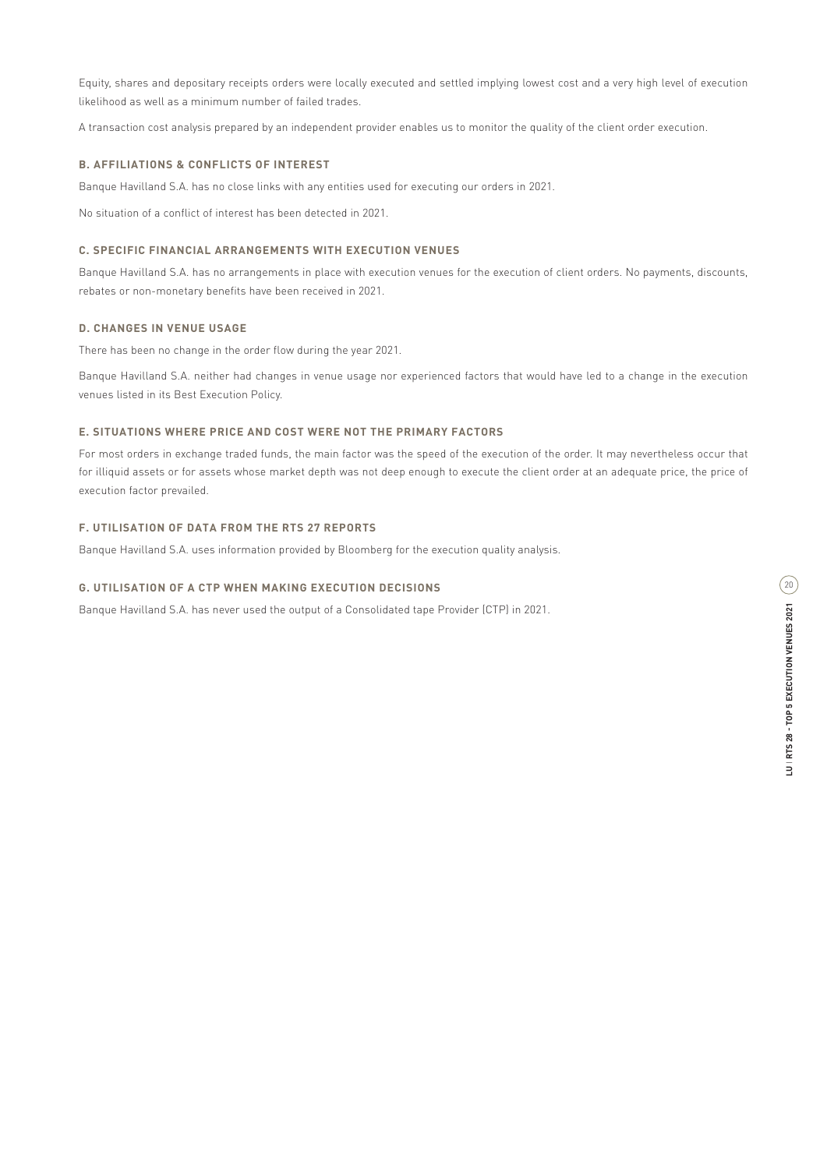Equity, shares and depositary receipts orders were locally executed and settled implying lowest cost and a very high level of execution likelihood as well as a minimum number of failed trades.

A transaction cost analysis prepared by an independent provider enables us to monitor the quality of the client order execution.

### **B. AFFILIATIONS & CONFLICTS OF INTEREST**

Banque Havilland S.A. has no close links with any entities used for executing our orders in 2021.

No situation of a conflict of interest has been detected in 2021.

## **C. SPECIFIC FINANCIAL ARRANGEMENTS WITH EXECUTION VENUES**

Banque Havilland S.A. has no arrangements in place with execution venues for the execution of client orders. No payments, discounts, rebates or non-monetary benefits have been received in 2021.

### **D. CHANGES IN VENUE USAGE**

There has been no change in the order flow during the year 2021.

Banque Havilland S.A. neither had changes in venue usage nor experienced factors that would have led to a change in the execution venues listed in its Best Execution Policy.

#### **E. SITUATIONS WHERE PRICE AND COST WERE NOT THE PRIMARY FACTORS**

For most orders in exchange traded funds, the main factor was the speed of the execution of the order. It may nevertheless occur that for illiquid assets or for assets whose market depth was not deep enough to execute the client order at an adequate price, the price of execution factor prevailed.

### **F. UTILISATION OF DATA FROM THE RTS 27 REPORTS**

Banque Havilland S.A. uses information provided by Bloomberg for the execution quality analysis.

#### **G. UTILISATION OF A CTP WHEN MAKING EXECUTION DECISIONS**

Banque Havilland S.A. has never used the output of a Consolidated tape Provider (CTP) in 2021.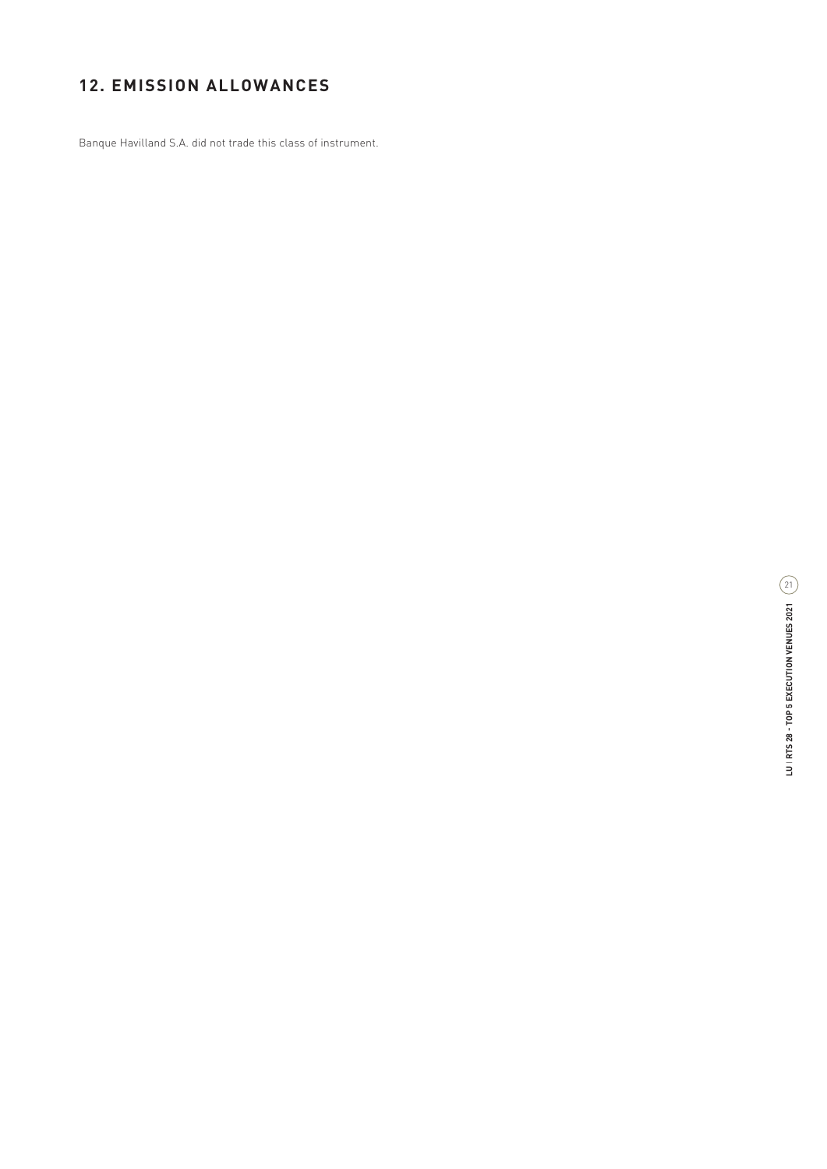# **12. EMISSION ALLOWANCES**